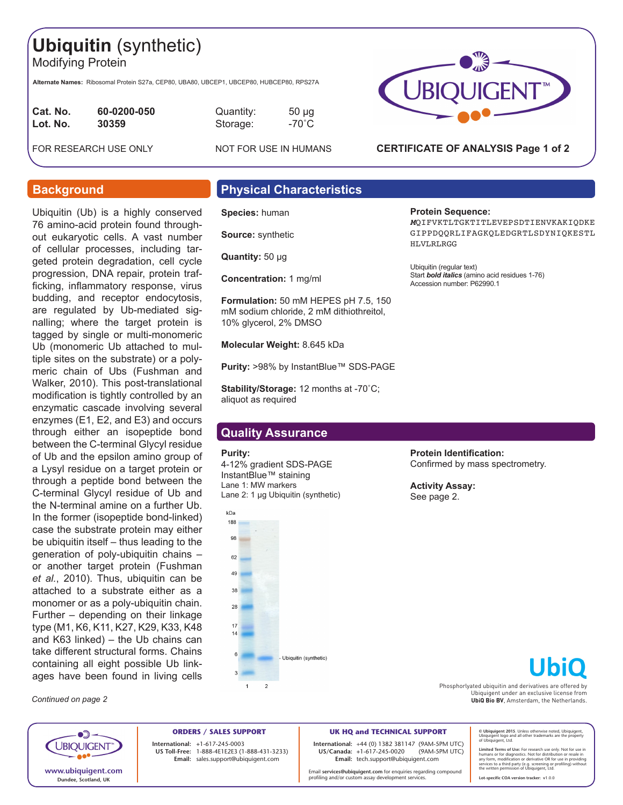# **Ubiquitin** (synthetic)

Modifying Protein

**Alternate Names:** Ribosomal Protein S27a, CEP80, UBA80, UBCEP1, UBCEP80, HUBCEP80, RPS27A

| Cat. No. | 60-0200-050 |
|----------|-------------|
| Lot. No. | 30359       |
|          |             |

**Caunder Compare 100000-011** 50 µg **Lot. No. 30359** Storage: -70˚C

FOR RESEARCH USE ONLY NOT FOR USE IN HUMANS



### **CERTIFICATE OF ANALYSIS Page 1 of 2**

Start *bold italics* (amino acid residues 1-76)

*M*QIFVKTLTGKTITLEVEPSDTIENVKAKIQDKE GIPPDQQRLIFAGKQLEDGRTLSDYNIQKESTL

**Protein Sequence:**

HLVLRLRGG

Ubiquitin (regular text)

Accession number: P62990.1

Ubiquitin (Ub) is a highly conserved 76 amino-acid protein found throughout eukaryotic cells. A vast number of cellular processes, including targeted protein degradation, cell cycle progression, DNA repair, protein trafficking, inflammatory response, virus budding, and receptor endocytosis, are regulated by Ub-mediated signalling; where the target protein is tagged by single or multi-monomeric Ub (monomeric Ub attached to multiple sites on the substrate) or a polymeric chain of Ubs (Fushman and Walker, 2010). This post-translational modification is tightly controlled by an enzymatic cascade involving several enzymes (E1, E2, and E3) and occurs through either an isopeptide bond between the C-terminal Glycyl residue of Ub and the epsilon amino group of a Lysyl residue on a target protein or through a peptide bond between the C-terminal Glycyl residue of Ub and the N-terminal amine on a further Ub. In the former (isopeptide bond-linked) case the substrate protein may either be ubiquitin itself – thus leading to the generation of poly-ubiquitin chains – or another target protein (Fushman *et al.*, 2010). Thus, ubiquitin can be attached to a substrate either as a monomer or as a poly-ubiquitin chain. Further – depending on their linkage type (M1, K6, K11, K27, K29, K33, K48 and K63 linked) – the Ub chains can take different structural forms. Chains containing all eight possible Ub linkages have been found in living cells

*Continued on page 2*

# **Background Physical Characteristics**

**Species:** human

**Source:** synthetic

**Quantity:** 50 μg

**Concentration:** 1 mg/ml

**Formulation:** 50 mM HEPES pH 7.5, 150 mM sodium chloride, 2 mM dithiothreitol, 10% glycerol, 2% DMSO

**Molecular Weight:** 8.645 kDa

**Purity: >98% by InstantBlue™ SDS-PAGE** 

**Stability/Storage:** 12 months at -70˚C; aliquot as required

## **Quality Assurance**

#### **Purity:**

4-12% gradient SDS-PAGE InstantBlue™ staining Lane 1: MW markers Lane 2: 1 µg Ubiquitin (synthetic)



**Protein Identification:**  Confirmed by mass spectrometry.

**Activity Assay:** See page 2.

Phosphorlyated ubiquitin and derivatives are offered by Ubiquigent under an exclusive license from **UbiQ Bio BV**, Amsterdam, the Netherlands.

**© Ubiquigent 2015**. Unless otherwise noted, Ubiquigent, Ubiquigent logo and all other trademarks are the property of Ubiquigent, Ltd.

Limited Terms of Use: For research use only. Not for use in<br>humans or for diagnostics. Not for distribution or resale in<br>any form, modification or derivative OR for use in providing<br>services to a third party (e.g. screenin

**Lot-specific COA version tracker: v**1.0.0

**ORDERS / SALES SUPPORT International: +**1-617-245-0003 **US Toll-Free:** 1-888-4E1E2E3 (1-888-431-3233) **Email:** sales.support@ubiquigent.com

**UK HQ and TECHNICAL SUPPORT International:** +44 (0) 1382 381147 (9AM-5PM UTC) **US/Canada:** +1-617-245-0020 **Email:** tech.support@ubiquigent.com

Email **services@ubiquigent.com** for enquiries regarding compound profiling and/or custom assay development services.

 $\bullet$   $\bullet$ **UBIQUIGENT www.ubiquigent.com Dundee, Scotland, UK**